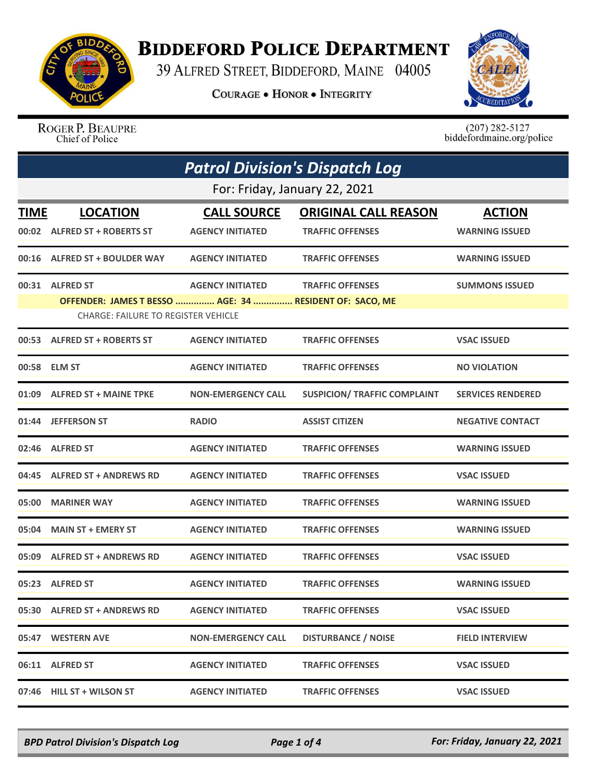

## **BIDDEFORD POLICE DEPARTMENT**

39 ALFRED STREET, BIDDEFORD, MAINE 04005

**COURAGE . HONOR . INTEGRITY** 



ROGER P. BEAUPRE Chief of Police

 $(207)$  282-5127<br>biddefordmaine.org/police

| <b>Patrol Division's Dispatch Log</b> |                                                                                                                          |                                               |                                                        |                                        |  |
|---------------------------------------|--------------------------------------------------------------------------------------------------------------------------|-----------------------------------------------|--------------------------------------------------------|----------------------------------------|--|
|                                       | For: Friday, January 22, 2021                                                                                            |                                               |                                                        |                                        |  |
| TIME                                  | <b>LOCATION</b><br>00:02 ALFRED ST + ROBERTS ST                                                                          | <b>CALL SOURCE</b><br><b>AGENCY INITIATED</b> | <b>ORIGINAL CALL REASON</b><br><b>TRAFFIC OFFENSES</b> | <b>ACTION</b><br><b>WARNING ISSUED</b> |  |
|                                       | 00:16 ALFRED ST + BOULDER WAY                                                                                            | <b>AGENCY INITIATED</b>                       | <b>TRAFFIC OFFENSES</b>                                | <b>WARNING ISSUED</b>                  |  |
|                                       | 00:31 ALFRED ST<br>OFFENDER: JAMES T BESSO  AGE: 34  RESIDENT OF: SACO, ME<br><b>CHARGE: FAILURE TO REGISTER VEHICLE</b> | <b>AGENCY INITIATED</b>                       | <b>TRAFFIC OFFENSES</b>                                | <b>SUMMONS ISSUED</b>                  |  |
|                                       | 00:53 ALFRED ST + ROBERTS ST                                                                                             | <b>AGENCY INITIATED</b>                       | <b>TRAFFIC OFFENSES</b>                                | <b>VSAC ISSUED</b>                     |  |
|                                       | 00:58 ELM ST                                                                                                             | <b>AGENCY INITIATED</b>                       | <b>TRAFFIC OFFENSES</b>                                | <b>NO VIOLATION</b>                    |  |
|                                       | 01:09 ALFRED ST + MAINE TPKE                                                                                             | <b>NON-EMERGENCY CALL</b>                     | <b>SUSPICION/ TRAFFIC COMPLAINT</b>                    | <b>SERVICES RENDERED</b>               |  |
|                                       | 01:44 JEFFERSON ST                                                                                                       | <b>RADIO</b>                                  | <b>ASSIST CITIZEN</b>                                  | <b>NEGATIVE CONTACT</b>                |  |
|                                       | 02:46 ALFRED ST                                                                                                          | <b>AGENCY INITIATED</b>                       | <b>TRAFFIC OFFENSES</b>                                | <b>WARNING ISSUED</b>                  |  |
|                                       | 04:45 ALFRED ST + ANDREWS RD                                                                                             | <b>AGENCY INITIATED</b>                       | <b>TRAFFIC OFFENSES</b>                                | <b>VSAC ISSUED</b>                     |  |
|                                       | 05:00 MARINER WAY                                                                                                        | <b>AGENCY INITIATED</b>                       | <b>TRAFFIC OFFENSES</b>                                | <b>WARNING ISSUED</b>                  |  |
|                                       | 05:04 MAIN ST + EMERY ST                                                                                                 | <b>AGENCY INITIATED</b>                       | <b>TRAFFIC OFFENSES</b>                                | <b>WARNING ISSUED</b>                  |  |
|                                       | 05:09 ALFRED ST + ANDREWS RD                                                                                             | <b>AGENCY INITIATED</b>                       | <b>TRAFFIC OFFENSES</b>                                | <b>VSAC ISSUED</b>                     |  |
|                                       | 05:23 ALFRED ST                                                                                                          | <b>AGENCY INITIATED</b>                       | <b>TRAFFIC OFFENSES</b>                                | <b>WARNING ISSUED</b>                  |  |
|                                       | 05:30 ALFRED ST + ANDREWS RD                                                                                             | <b>AGENCY INITIATED</b>                       | <b>TRAFFIC OFFENSES</b>                                | <b>VSAC ISSUED</b>                     |  |
|                                       | 05:47 WESTERN AVE                                                                                                        | <b>NON-EMERGENCY CALL</b>                     | <b>DISTURBANCE / NOISE</b>                             | <b>FIELD INTERVIEW</b>                 |  |
|                                       | 06:11 ALFRED ST                                                                                                          | <b>AGENCY INITIATED</b>                       | <b>TRAFFIC OFFENSES</b>                                | <b>VSAC ISSUED</b>                     |  |
|                                       | 07:46 HILL ST + WILSON ST                                                                                                | <b>AGENCY INITIATED</b>                       | <b>TRAFFIC OFFENSES</b>                                | <b>VSAC ISSUED</b>                     |  |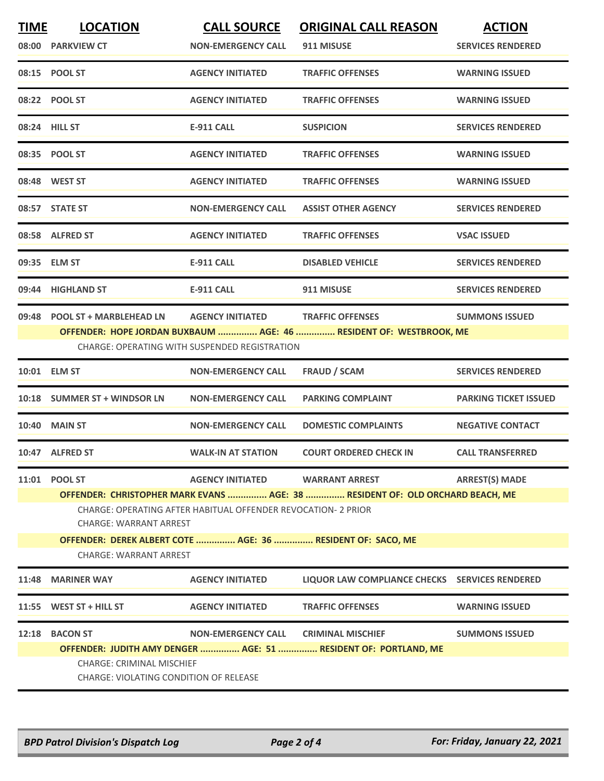| <b>TIME</b>                                                                                                                                                                                                                         | <b>LOCATION</b><br>08:00 PARKVIEW CT                                                                                                                                            | <b>CALL SOURCE</b><br><b>NON-EMERGENCY CALL</b> | <b>ORIGINAL CALL REASON</b><br>911 MISUSE                       | <b>ACTION</b><br><b>SERVICES RENDERED</b> |  |
|-------------------------------------------------------------------------------------------------------------------------------------------------------------------------------------------------------------------------------------|---------------------------------------------------------------------------------------------------------------------------------------------------------------------------------|-------------------------------------------------|-----------------------------------------------------------------|-------------------------------------------|--|
|                                                                                                                                                                                                                                     | 08:15 POOL ST                                                                                                                                                                   | <b>AGENCY INITIATED</b>                         | <b>TRAFFIC OFFENSES</b>                                         | <b>WARNING ISSUED</b>                     |  |
|                                                                                                                                                                                                                                     | 08:22 POOL ST                                                                                                                                                                   | <b>AGENCY INITIATED</b>                         | <b>TRAFFIC OFFENSES</b>                                         | <b>WARNING ISSUED</b>                     |  |
| 08:24 HILL ST                                                                                                                                                                                                                       |                                                                                                                                                                                 | <b>E-911 CALL</b>                               | <b>SUSPICION</b>                                                | <b>SERVICES RENDERED</b>                  |  |
|                                                                                                                                                                                                                                     | 08:35 POOL ST                                                                                                                                                                   | <b>AGENCY INITIATED</b>                         | <b>TRAFFIC OFFENSES</b>                                         | <b>WARNING ISSUED</b>                     |  |
|                                                                                                                                                                                                                                     | 08:48 WEST ST                                                                                                                                                                   | <b>AGENCY INITIATED</b>                         | <b>TRAFFIC OFFENSES</b>                                         | <b>WARNING ISSUED</b>                     |  |
|                                                                                                                                                                                                                                     | 08:57 STATE ST                                                                                                                                                                  | <b>NON-EMERGENCY CALL</b>                       | <b>ASSIST OTHER AGENCY</b>                                      | <b>SERVICES RENDERED</b>                  |  |
|                                                                                                                                                                                                                                     | 08:58 ALFRED ST                                                                                                                                                                 | <b>AGENCY INITIATED</b>                         | <b>TRAFFIC OFFENSES</b>                                         | <b>VSAC ISSUED</b>                        |  |
|                                                                                                                                                                                                                                     | 09:35 ELM ST                                                                                                                                                                    | <b>E-911 CALL</b>                               | <b>DISABLED VEHICLE</b>                                         | <b>SERVICES RENDERED</b>                  |  |
|                                                                                                                                                                                                                                     | 09:44 HIGHLAND ST                                                                                                                                                               | <b>E-911 CALL</b>                               | 911 MISUSE                                                      | <b>SERVICES RENDERED</b>                  |  |
| 09:48 POOL ST + MARBLEHEAD LN<br><b>AGENCY INITIATED</b><br><b>TRAFFIC OFFENSES</b><br><b>SUMMONS ISSUED</b><br>OFFENDER: HOPE JORDAN BUXBAUM  AGE: 46  RESIDENT OF: WESTBROOK, ME<br>CHARGE: OPERATING WITH SUSPENDED REGISTRATION |                                                                                                                                                                                 |                                                 |                                                                 |                                           |  |
|                                                                                                                                                                                                                                     | 10:01 ELM ST                                                                                                                                                                    | <b>NON-EMERGENCY CALL</b>                       | <b>FRAUD / SCAM</b>                                             | <b>SERVICES RENDERED</b>                  |  |
| 10:18                                                                                                                                                                                                                               | <b>SUMMER ST + WINDSOR LN</b>                                                                                                                                                   | <b>NON-EMERGENCY CALL</b>                       | <b>PARKING COMPLAINT</b>                                        | <b>PARKING TICKET ISSUED</b>              |  |
|                                                                                                                                                                                                                                     | <b>10:40 MAIN ST</b>                                                                                                                                                            | <b>NON-EMERGENCY CALL</b>                       | <b>DOMESTIC COMPLAINTS</b>                                      | <b>NEGATIVE CONTACT</b>                   |  |
|                                                                                                                                                                                                                                     | 10:47 ALFRED ST                                                                                                                                                                 | <b>WALK-IN AT STATION</b>                       | <b>COURT ORDERED CHECK IN</b>                                   | <b>CALL TRANSFERRED</b>                   |  |
|                                                                                                                                                                                                                                     | 11:01 POOL ST                                                                                                                                                                   | <b>AGENCY INITIATED</b>                         | <b>WARRANT ARREST</b>                                           | <b>ARREST(S) MADE</b>                     |  |
|                                                                                                                                                                                                                                     | OFFENDER: CHRISTOPHER MARK EVANS  AGE: 38  RESIDENT OF: OLD ORCHARD BEACH, ME<br>CHARGE: OPERATING AFTER HABITUAL OFFENDER REVOCATION- 2 PRIOR<br><b>CHARGE: WARRANT ARREST</b> |                                                 |                                                                 |                                           |  |
|                                                                                                                                                                                                                                     | OFFENDER: DEREK ALBERT COTE  AGE: 36  RESIDENT OF: SACO, ME<br><b>CHARGE: WARRANT ARREST</b>                                                                                    |                                                 |                                                                 |                                           |  |
| 11:48                                                                                                                                                                                                                               | <b>MARINER WAY</b>                                                                                                                                                              | <b>AGENCY INITIATED</b>                         | LIQUOR LAW COMPLIANCE CHECKS SERVICES RENDERED                  |                                           |  |
| 11:55                                                                                                                                                                                                                               | WEST ST + HILL ST                                                                                                                                                               | <b>AGENCY INITIATED</b>                         | <b>TRAFFIC OFFENSES</b>                                         | <b>WARNING ISSUED</b>                     |  |
| 12:18                                                                                                                                                                                                                               | <b>BACON ST</b>                                                                                                                                                                 | NON-EMERGENCY CALL CRIMINAL MISCHIEF            | OFFENDER: JUDITH AMY DENGER  AGE: 51  RESIDENT OF: PORTLAND, ME | <b>SUMMONS ISSUED</b>                     |  |
|                                                                                                                                                                                                                                     | CHARGE: CRIMINAL MISCHIEF<br>CHARGE: VIOLATING CONDITION OF RELEASE                                                                                                             |                                                 |                                                                 |                                           |  |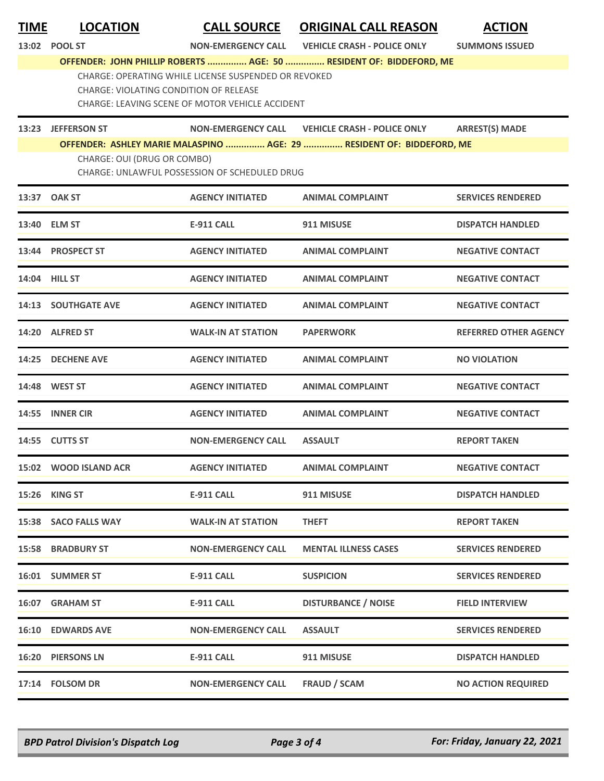| <b>TIME</b> | <b>LOCATION</b><br>13:02 POOL ST       | <b>CALL SOURCE</b><br><b>NON-EMERGENCY CALL</b>                                                         | <b>ORIGINAL CALL REASON</b><br><b>VEHICLE CRASH - POLICE ONLY</b>     | <b>ACTION</b><br><b>SUMMONS ISSUED</b> |
|-------------|----------------------------------------|---------------------------------------------------------------------------------------------------------|-----------------------------------------------------------------------|----------------------------------------|
|             |                                        |                                                                                                         | OFFENDER: JOHN PHILLIP ROBERTS  AGE: 50  RESIDENT OF: BIDDEFORD, ME   |                                        |
|             | CHARGE: VIOLATING CONDITION OF RELEASE | CHARGE: OPERATING WHILE LICENSE SUSPENDED OR REVOKED<br>CHARGE: LEAVING SCENE OF MOTOR VEHICLE ACCIDENT |                                                                       |                                        |
|             | 13:23 JEFFERSON ST                     | <b>NON-EMERGENCY CALL</b>                                                                               | <b>VEHICLE CRASH - POLICE ONLY</b>                                    | <b>ARREST(S) MADE</b>                  |
|             | CHARGE: OUI (DRUG OR COMBO)            | CHARGE: UNLAWFUL POSSESSION OF SCHEDULED DRUG                                                           | OFFENDER: ASHLEY MARIE MALASPINO  AGE: 29  RESIDENT OF: BIDDEFORD, ME |                                        |
|             | 13:37 OAK ST                           | <b>AGENCY INITIATED</b>                                                                                 | <b>ANIMAL COMPLAINT</b>                                               | <b>SERVICES RENDERED</b>               |
|             | 13:40 ELM ST                           | <b>E-911 CALL</b>                                                                                       | 911 MISUSE                                                            | <b>DISPATCH HANDLED</b>                |
|             | 13:44 PROSPECT ST                      | <b>AGENCY INITIATED</b>                                                                                 | <b>ANIMAL COMPLAINT</b>                                               | <b>NEGATIVE CONTACT</b>                |
|             | <b>14:04 HILL ST</b>                   | <b>AGENCY INITIATED</b>                                                                                 | <b>ANIMAL COMPLAINT</b>                                               | <b>NEGATIVE CONTACT</b>                |
|             | <b>14:13 SOUTHGATE AVE</b>             | <b>AGENCY INITIATED</b>                                                                                 | <b>ANIMAL COMPLAINT</b>                                               | <b>NEGATIVE CONTACT</b>                |
|             | 14:20 ALFRED ST                        | <b>WALK-IN AT STATION</b>                                                                               | <b>PAPERWORK</b>                                                      | <b>REFERRED OTHER AGENCY</b>           |
| 14:25       | <b>DECHENE AVE</b>                     | <b>AGENCY INITIATED</b>                                                                                 | <b>ANIMAL COMPLAINT</b>                                               | <b>NO VIOLATION</b>                    |
|             | 14:48 WEST ST                          | <b>AGENCY INITIATED</b>                                                                                 | <b>ANIMAL COMPLAINT</b>                                               | <b>NEGATIVE CONTACT</b>                |
|             | 14:55 INNER CIR                        | <b>AGENCY INITIATED</b>                                                                                 | <b>ANIMAL COMPLAINT</b>                                               | <b>NEGATIVE CONTACT</b>                |
|             | 14:55 CUTTS ST                         | <b>NON-EMERGENCY CALL</b>                                                                               | <b>ASSAULT</b>                                                        | <b>REPORT TAKEN</b>                    |
|             | 15:02 WOOD ISLAND ACR                  | <b>AGENCY INITIATED</b>                                                                                 | <b>ANIMAL COMPLAINT</b>                                               | <b>NEGATIVE CONTACT</b>                |
|             | 15:26 KING ST                          | <b>E-911 CALL</b>                                                                                       | 911 MISUSE                                                            | <b>DISPATCH HANDLED</b>                |
|             | 15:38 SACO FALLS WAY                   | <b>WALK-IN AT STATION</b>                                                                               | <b>THEFT</b>                                                          | <b>REPORT TAKEN</b>                    |
|             | <b>15:58 BRADBURY ST</b>               | <b>NON-EMERGENCY CALL</b>                                                                               | <b>MENTAL ILLNESS CASES</b>                                           | <b>SERVICES RENDERED</b>               |
|             | 16:01 SUMMER ST                        | <b>E-911 CALL</b>                                                                                       | <b>SUSPICION</b>                                                      | <b>SERVICES RENDERED</b>               |
|             | 16:07 GRAHAM ST                        | <b>E-911 CALL</b>                                                                                       | <b>DISTURBANCE / NOISE</b>                                            | <b>FIELD INTERVIEW</b>                 |
|             | <b>16:10 EDWARDS AVE</b>               | <b>NON-EMERGENCY CALL</b>                                                                               | <b>ASSAULT</b>                                                        | <b>SERVICES RENDERED</b>               |
|             | <b>16:20 PIERSONS LN</b>               | <b>E-911 CALL</b>                                                                                       | 911 MISUSE                                                            | <b>DISPATCH HANDLED</b>                |
|             | 17:14 FOLSOM DR                        | <b>NON-EMERGENCY CALL</b>                                                                               | <b>FRAUD / SCAM</b>                                                   | <b>NO ACTION REQUIRED</b>              |

*BPD Patrol Division's Dispatch Log Page 3 of 4 For: Friday, January 22, 2021*